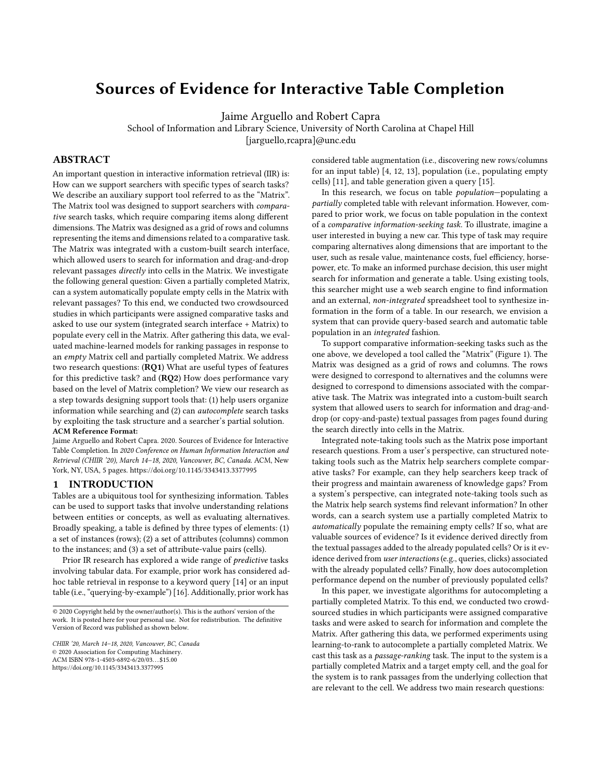# Sources of Evidence for Interactive Table Completion

Jaime Arguello and Robert Capra

School of Information and Library Science, University of North Carolina at Chapel Hill

[jarguello,rcapra]@unc.edu

# ABSTRACT

An important question in interactive information retrieval (IIR) is: How can we support searchers with specific types of search tasks? We describe an auxiliary support tool referred to as the "Matrix". The Matrix tool was designed to support searchers with comparative search tasks, which require comparing items along different dimensions. The Matrix was designed as a grid of rows and columns representing the items and dimensions related to a comparative task. The Matrix was integrated with a custom-built search interface, which allowed users to search for information and drag-and-drop relevant passages directly into cells in the Matrix. We investigate the following general question: Given a partially completed Matrix, can a system automatically populate empty cells in the Matrix with relevant passages? To this end, we conducted two crowdsourced studies in which participants were assigned comparative tasks and asked to use our system (integrated search interface + Matrix) to populate every cell in the Matrix. After gathering this data, we evaluated machine-learned models for ranking passages in response to an empty Matrix cell and partially completed Matrix. We address two research questions: (RQ1) What are useful types of features for this predictive task? and (RQ2) How does performance vary based on the level of Matrix completion? We view our research as a step towards designing support tools that: (1) help users organize information while searching and (2) can autocomplete search tasks by exploiting the task structure and a searcher's partial solution. ACM Reference Format:

Jaime Arguello and Robert Capra. 2020. Sources of Evidence for Interactive Table Completion. In 2020 Conference on Human Information Interaction and Retrieval (CHIIR '20), March 14–18, 2020, Vancouver, BC, Canada. ACM, New York, NY, USA, [5](#page-4-0) pages.<https://doi.org/10.1145/3343413.3377995>

#### 1 INTRODUCTION

Tables are a ubiquitous tool for synthesizing information. Tables can be used to support tasks that involve understanding relations between entities or concepts, as well as evaluating alternatives. Broadly speaking, a table is defined by three types of elements: (1) a set of instances (rows); (2) a set of attributes (columns) common to the instances; and (3) a set of attribute-value pairs (cells).

Prior IR research has explored a wide range of predictive tasks involving tabular data. For example, prior work has considered adhoc table retrieval in response to a keyword query [\[14\]](#page-4-1) or an input table (i.e., "querying-by-example") [\[16\]](#page-4-2). Additionally, prior work has

© 2020 Copyright held by the owner/author(s). This is the authors' version of the work. It is posted here for your personal use. Not for redistribution. The definitive Version of Record was published as shown below.

CHIIR '20, March 14–18, 2020, Vancouver, BC, Canada © 2020 Association for Computing Machinery. ACM ISBN 978-1-4503-6892-6/20/03. . . \$15.00 <https://doi.org/10.1145/3343413.3377995>

considered table augmentation (i.e., discovering new rows/columns for an input table) [\[4,](#page-4-3) [12,](#page-4-4) [13\]](#page-4-5), population (i.e., populating empty cells) [\[11\]](#page-4-6), and table generation given a query [\[15\]](#page-4-7).

In this research, we focus on table population—populating a partially completed table with relevant information. However, compared to prior work, we focus on table population in the context of a comparative information-seeking task. To illustrate, imagine a user interested in buying a new car. This type of task may require comparing alternatives along dimensions that are important to the user, such as resale value, maintenance costs, fuel efficiency, horsepower, etc. To make an informed purchase decision, this user might search for information and generate a table. Using existing tools, this searcher might use a web search engine to find information and an external, non-integrated spreadsheet tool to synthesize information in the form of a table. In our research, we envision a system that can provide query-based search and automatic table population in an integrated fashion.

To support comparative information-seeking tasks such as the one above, we developed a tool called the "Matrix" (Figure [1\)](#page-1-0). The Matrix was designed as a grid of rows and columns. The rows were designed to correspond to alternatives and the columns were designed to correspond to dimensions associated with the comparative task. The Matrix was integrated into a custom-built search system that allowed users to search for information and drag-anddrop (or copy-and-paste) textual passages from pages found during the search directly into cells in the Matrix.

Integrated note-taking tools such as the Matrix pose important research questions. From a user's perspective, can structured notetaking tools such as the Matrix help searchers complete comparative tasks? For example, can they help searchers keep track of their progress and maintain awareness of knowledge gaps? From a system's perspective, can integrated note-taking tools such as the Matrix help search systems find relevant information? In other words, can a search system use a partially completed Matrix to automatically populate the remaining empty cells? If so, what are valuable sources of evidence? Is it evidence derived directly from the textual passages added to the already populated cells? Or is it evidence derived from user interactions (e.g., queries, clicks) associated with the already populated cells? Finally, how does autocompletion performance depend on the number of previously populated cells?

In this paper, we investigate algorithms for autocompleting a partially completed Matrix. To this end, we conducted two crowdsourced studies in which participants were assigned comparative tasks and were asked to search for information and complete the Matrix. After gathering this data, we performed experiments using learning-to-rank to autocomplete a partially completed Matrix. We cast this task as a passage-ranking task. The input to the system is a partially completed Matrix and a target empty cell, and the goal for the system is to rank passages from the underlying collection that are relevant to the cell. We address two main research questions: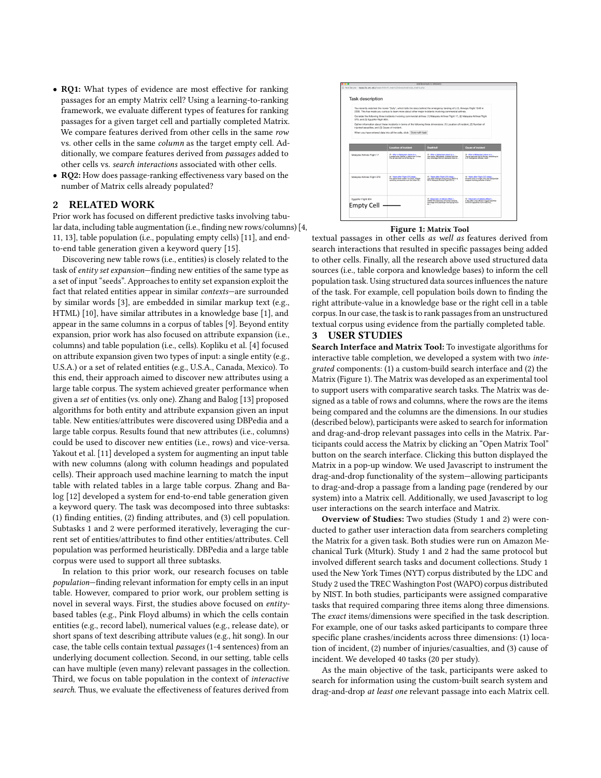- ' RQ1: What types of evidence are most effective for ranking passages for an empty Matrix cell? Using a learning-to-ranking framework, we evaluate different types of features for ranking passages for a given target cell and partially completed Matrix. We compare features derived from other cells in the same row vs. other cells in the same column as the target empty cell. Additionally, we compare features derived from passages added to other cells vs. search interactions associated with other cells.
- ' RQ2: How does passage-ranking effectiveness vary based on the number of Matrix cells already populated?

## 2 RELATED WORK

Prior work has focused on different predictive tasks involving tabular data, including table augmentation (i.e., finding new rows/columns) [\[4,](#page-4-3) [11,](#page-4-6) [13\]](#page-4-5), table population (i.e., populating empty cells) [\[11\]](#page-4-6), and endto-end table generation given a keyword query [\[15\]](#page-4-7).

Discovering new table rows (i.e., entities) is closely related to the task of entity set expansion—finding new entities of the same type as a set of input "seeds". Approaches to entity set expansion exploit the fact that related entities appear in similar contexts—are surrounded by similar words [\[3\]](#page-4-8), are embedded in similar markup text (e.g., HTML) [\[10\]](#page-4-9), have similar attributes in a knowledge base [\[1\]](#page-4-10), and appear in the same columns in a corpus of tables [\[9\]](#page-4-11). Beyond entity expansion, prior work has also focused on attribute expansion (i.e., columns) and table population (i.e., cells). Kopliku et al. [\[4\]](#page-4-3) focused on attribute expansion given two types of input: a single entity (e.g., U.S.A.) or a set of related entities (e.g., U.S.A., Canada, Mexico). To this end, their approach aimed to discover new attributes using a large table corpus. The system achieved greater performance when given a set of entities (vs. only one). Zhang and Balog [\[13\]](#page-4-5) proposed algorithms for both entity and attribute expansion given an input table. New entities/attributes were discovered using DBPedia and a large table corpus. Results found that new attributes (i.e., columns) could be used to discover new entities (i.e., rows) and vice-versa. Yakout et al. [\[11\]](#page-4-6) developed a system for augmenting an input table with new columns (along with column headings and populated cells). Their approach used machine learning to match the input table with related tables in a large table corpus. Zhang and Balog [\[12\]](#page-4-4) developed a system for end-to-end table generation given a keyword query. The task was decomposed into three subtasks: (1) finding entities, (2) finding attributes, and (3) cell population. Subtasks 1 and 2 were performed iteratively, leveraging the current set of entities/attributes to find other entities/attributes. Cell population was performed heuristically. DBPedia and a large table corpus were used to support all three subtasks. 2 **RELATIED WORKS**<br>
Trior work has focused on different predictive tasks involving tabu-<br>
In 131, tabk population (i.e., phylading empty cells) [11], and ema<sup>1</sup><br>
I.1, 131, tabk population (i.e., phylading empty cells) [11

In relation to this prior work, our research focuses on table population—finding relevant information for empty cells in an input table. However, compared to prior work, our problem setting is novel in several ways. First, the studies above focused on entitybased tables (e.g., Pink Floyd albums) in which the cells contain entities (e.g., record label), numerical values (e.g., release date), or short spans of text describing attribute values (e.g., hit song). In our case, the table cells contain textual passages (1-4 sentences) from an underlying document collection. Second, in our setting, table cells can have multiple (even many) relevant passages in the collection. Third, we focus on table population in the context of interactive

<span id="page-1-0"></span>

#### Figure 1: Matrix Tool

textual passages in other cells as well as features derived from search interactions that resulted in specific passages being added to other cells. Finally, all the research above used structured data sources (i.e., table corpora and knowledge bases) to inform the cell population task. Using structured data sources influences the nature of the task. For example, cell population boils down to finding the right attribute-value in a knowledge base or the right cell in a table corpus. In our case, the task is to rank passages from an unstructured textual corpus using evidence from the partially completed table.

# 3 USER STUDIES

Search Interface and Matrix Tool: To investigate algorithms for interactive table completion, we developed a system with two integrated components: (1) a custom-build search interface and (2) the Matrix (Figure [1\)](#page-1-0). The Matrix was developed as an experimental tool to support users with comparative search tasks. The Matrix was designed as a table of rows and columns, where the rows are the items being compared and the columns are the dimensions. In our studies (described below), participants were asked to search for information and drag-and-drop relevant passages into cells in the Matrix. Participants could access the Matrix by clicking an "Open Matrix Tool" button on the search interface. Clicking this button displayed the Matrix in a pop-up window. We used Javascript to instrument the drag-and-drop functionality of the system—allowing participants to drag-and-drop a passage from a landing page (rendered by our system) into a Matrix cell. Additionally, we used Javascript to log user interactions on the search interface and Matrix.

Overview of Studies: Two studies (Study 1 and 2) were conducted to gather user interaction data from searchers completing the Matrix for a given task. Both studies were run on Amazon Mechanical Turk (Mturk). Study 1 and 2 had the same protocol but involved different search tasks and document collections. Study 1 used the New York Times (NYT) corpus distributed by the LDC and Study 2 used the TREC Washington Post (WAPO) corpus distributed by NIST. In both studies, participants were assigned comparative tasks that required comparing three items along three dimensions. The exact items/dimensions were specified in the task description. For example, one of our tasks asked participants to compare three specific plane crashes/incidents across three dimensions: (1) location of incident, (2) number of injuries/casualties, and (3) cause of incident. We developed 40 tasks (20 per study).

As the main objective of the task, participants were asked to search for information using the custom-built search system and drag-and-drop at least one relevant passage into each Matrix cell.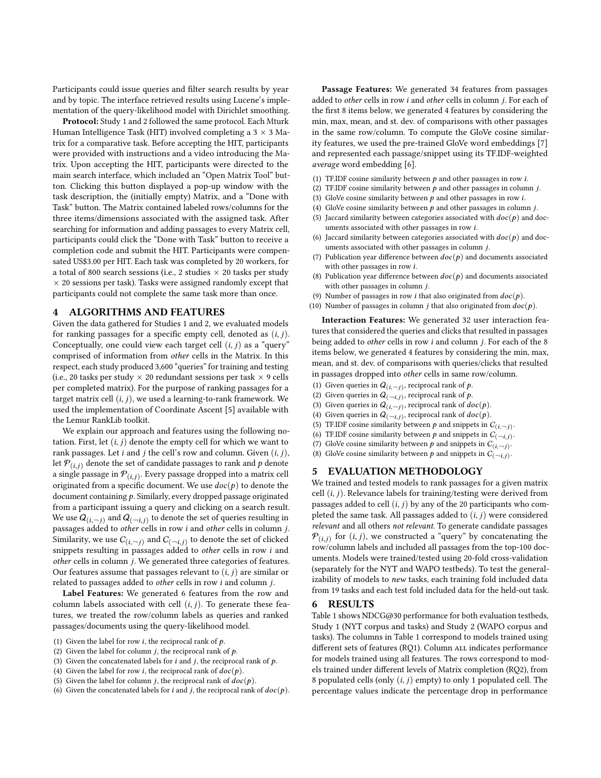Participants could issue queries and filter search results by year and by topic. The interface retrieved results using Lucene's implementation of the query-likelihood model with Dirichlet smoothing.

Protocol: Study 1 and 2 followed the same protocol. Each Mturk Human Intelligence Task (HIT) involved completing a  $3 \times 3$  Matrix for a comparative task. Before accepting the HIT, participants were provided with instructions and a video introducing the Matrix. Upon accepting the HIT, participants were directed to the main search interface, which included an "Open Matrix Tool" button. Clicking this button displayed a pop-up window with the task description, the (initially empty) Matrix, and a "Done with Task" button. The Matrix contained labeled rows/columns for the three items/dimensions associated with the assigned task. After searching for information and adding passages to every Matrix cell, participants could click the "Done with Task" button to receive a completion code and submit the HIT. Participants were compensated US\$3.00 per HIT. Each task was completed by 20 workers, for a total of 800 search sessions (i.e., 2 studies  $\times$  20 tasks per study  $\times$  20 sessions per task). Tasks were assigned randomly except that participants could not complete the same task more than once.

### 4 ALGORITHMS AND FEATURES

Given the data gathered for Studies 1 and 2, we evaluated models for ranking passages for a specific empty cell, denoted as  $(i, j)$ . Conceptually, one could view each target cell  $(i, j)$  as a "query" comprised of information from other cells in the Matrix. In this respect, each study produced 3,600 "queries" for training and testing (i.e., 20 tasks per study  $\times$  20 redundant sessions per task  $\times$  9 cells per completed matrix). For the purpose of ranking passages for a target matrix cell  $(i, j)$ , we used a learning-to-rank framework. We used the implementation of Coordinate Ascent [\[5\]](#page-4-12) available with the Lemur RankLib toolkit.

We explain our approach and features using the following notation. First, let  $(i, j)$  denote the empty cell for which we want to rank passages. Let *i* and *j* the cell's row and column. Given  $(i, j)$ , let  $P(i,j)$  denote the set of candidate passages to rank and  $p$  denote a single passage in  ${\mathcal P}_{(i,j)}.$  Every passage dropped into a matrix cell originated from a specific document. We use  $doc(p)$  to denote the document containing  $p$ . Similarly, every dropped passage originated from a participant issuing a query and clicking on a search result. We use  $\overline{Q_{(i,\neg j)}}$  and  $\overline{Q_{(\neg i,j)}}$  to denote the set of queries resulting in passages added to other cells in row *i* and other cells in column j. Similarity, we use  $C_{(i, \neg j)}$  and  $C_{(\neg i, j)}$  to denote the set of clicked snippets resulting in passages added to other cells in row  $i$  and  $other$  cells in column  $j$ . We generated three categories of features. Our features assume that passages relevant to  $(i, j)$  are similar or related to passages added to *other* cells in row  $i$  and column  $j$ .

Label Features: We generated 6 features from the row and column labels associated with cell  $(i, j)$ . To generate these features, we treated the row/column labels as queries and ranked passages/documents using the query-likelihood model.

- (1) Given the label for row *i*, the reciprocal rank of  $p$ .
- (2) Given the label for column  $i$ , the reciprocal rank of  $p$ .
- (3) Given the concatenated labels for  $i$  and  $j$ , the reciprocal rank of  $p$ .
- (4) Given the label for row *i*, the reciprocal rank of  $doc(p)$ .
- (5) Given the label for column *j*, the reciprocal rank of  $doc(p)$ .
- (6) Given the concatenated labels for i and j, the reciprocal rank of  $doc(p)$ .

Passage Features: We generated 34 features from passages added to other cells in row  $i$  and other cells in column  $j$ . For each of the first 8 items below, we generated 4 features by considering the min, max, mean, and st. dev. of comparisons with other passages in the same row/column. To compute the GloVe cosine similarity features, we used the pre-trained GloVe word embeddings [\[7\]](#page-4-13) and represented each passage/snippet using its TF.IDF-weighted average word embedding [\[6\]](#page-4-14).

- (1) TF.IDF cosine similarity between  $p$  and other passages in row  $i$ .
- (2) TF.IDF cosine similarity between  $p$  and other passages in column  $j$ .
- (3) GloVe cosine similarity between  $p$  and other passages in row  $i$ .
- (4) GloVe cosine similarity between  $p$  and other passages in column  $j$ .
- (5) Jaccard similarity between categories associated with  $doc(p)$  and documents associated with other passages in row  $i$ .
- (6) Jaccard similarity between categories associated with  $doc(p)$  and documents associated with other passages in column  $j$ .
- (7) Publication year difference between  $doc(p)$  and documents associated with other passages in row  $i$ .
- (8) Publication year difference between  $doc(p)$  and documents associated with other passages in column  $j.$
- (9) Number of passages in row *i* that also originated from  $doc(p)$ .
- (10) Number of passages in column *j* that also originated from  $doc(p)$ .

Interaction Features: We generated 32 user interaction features that considered the queries and clicks that resulted in passages being added to *other* cells in row  $i$  and column  $j$ . For each of the 8 items below, we generated 4 features by considering the min, max, mean, and st. dev. of comparisons with queries/clicks that resulted in passages dropped into other cells in same row/column.

- (1) Given queries in  $Q_{(i,-j)}$ , reciprocal rank of  $p$ .
- (2) Given queries in  $Q_{(-i,j)}$ , reciprocal rank of p.
- (3) Given queries in  $Q_{(i, -j)}$ , reciprocal rank of  $doc(p)$ .
- (4) Given queries in  $Q_{(-i,j)}$ , reciprocal rank of  $doc(p)$ .
- (5) TF.IDF cosine similarity between  $p$  and snippets in  $C_{(i, \neg j)}$ .
- (6) TF.IDF cosine similarity between  $p$  and snippets in  $C_{(-i,j)}$ .
- (7) GloVe cosine similarity between  $p$  and snippets in  $C_{(i, -j)}$ .
- (8) GloVe cosine similarity between  $p$  and snippets in  $C_{(-i,j)}$ .

#### 5 EVALUATION METHODOLOGY

We trained and tested models to rank passages for a given matrix cell  $(i, j)$ . Relevance labels for training/testing were derived from passages added to cell  $(i, j)$  by any of the 20 participants who completed the same task. All passages added to  $(i, j)$  were considered relevant and all others not relevant. To generate candidate passages  $\mathcal{P}_{(i,j)}$  for  $(i, j)$ , we constructed a "query" by concatenating the row/column labels and included all passages from the top-100 documents. Models were trained/tested using 20-fold cross-validation (separately for the NYT and WAPO testbeds). To test the generalizability of models to new tasks, each training fold included data from 19 tasks and each test fold included data for the held-out task.

#### 6 RESULTS

Table [1](#page-3-0) shows NDCG@30 performance for both evaluation testbeds, Study 1 (NYT corpus and tasks) and Study 2 (WAPO corpus and tasks). The columns in Table [1](#page-3-0) correspond to models trained using different sets of features (RQ1). Column ALL indicates performance for models trained using all features. The rows correspond to models trained under different levels of Matrix completion (RQ2), from 8 populated cells (only  $(i, j)$  empty) to only 1 populated cell. The percentage values indicate the percentage drop in performance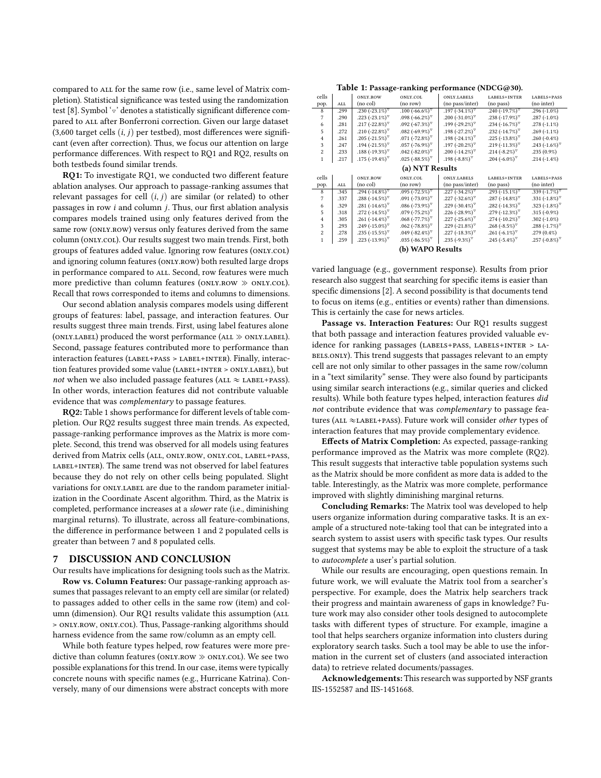compared to all for the same row (i.e., same level of Matrix completion). Statistical significance was tested using the randomization test [\[8\]](#page-4-15). Symbol ' $\triangledown$ ' denotes a statistically significant difference compared to ALL after Bonferroni correction. Given our large dataset  $(3,600$  target cells  $(i, j)$  per testbed), most differences were significant (even after correction). Thus, we focus our attention on large performance differences. With respect to RQ1 and RQ2, results on both testbeds found similar trends.

RQ1: To investigate RQ1, we conducted two different feature ablation analyses. Our approach to passage-ranking assumes that relevant passages for cell  $(i, j)$  are similar (or related) to other passages in row  $i$  and column  $j$ . Thus, our first ablation analysis compares models trained using only features derived from the same row (ONLY.ROW) versus only features derived from the same column (only.col). Our results suggest two main trends. First, both groups of features added value. Ignoring row features (ONLY.COL) and ignoring column features (ONLY.ROW) both resulted large drops in performance compared to ALL. Second, row features were much more predictive than column features ( $ONLY.ROW \gg ONLY.COL$ ). Recall that rows corresponded to items and columns to dimensions.

Our second ablation analysis compares models using different groups of features: label, passage, and interaction features. Our results suggest three main trends. First, using label features alone (ONLY.LABEL) produced the worst performance (ALL  $\gg$  ONLY.LABEL). Second, passage features contributed more to performance than interaction features (label+pass > label+inter). Finally, interaction features provided some value (LABEL+INTER > ONLY.LABEL), but not when we also included passage features (ALL  $\approx$  LABEL+PASS). In other words, interaction features did not contribute valuable evidence that was complementary to passage features.

RQ2: Table [1](#page-3-0) shows performance for different levels of table completion. Our RQ2 results suggest three main trends. As expected, passage-ranking performance improves as the Matrix is more complete. Second, this trend was observed for all models using features derived from Matrix cells (ALL, ONLY.ROW, ONLY.COL, LABEL+PASS, LABEL+INTER). The same trend was not observed for label features because they do not rely on other cells being populated. Slight variations for ONLY.LABEL are due to the random parameter initialization in the Coordinate Ascent algorithm. Third, as the Matrix is completed, performance increases at a slower rate (i.e., diminishing marginal returns). To illustrate, across all feature-combinations, the difference in performance between 1 and 2 populated cells is greater than between 7 and 8 populated cells.

### 7 DISCUSSION AND CONCLUSION

Our results have implications for designing tools such as the Matrix. Row vs. Column Features: Our passage-ranking approach assumes that passages relevant to an empty cell are similar (or related) to passages added to other cells in the same row (item) and column (dimension). Our RQ1 results validate this assumption (ALL > only.row, only.col). Thus, Passage-ranking algorithms should harness evidence from the same row/column as an empty cell.

While both feature types helped, row features were more predictive than column features (ONLY.ROW  $\gg$  ONLY.COL). We see two possible explanations for this trend. In our case, items were typically concrete nouns with specific names (e.g., Hurricane Katrina). Conversely, many of our dimensions were abstract concepts with more

Table 1: Passage-ranking performance (NDCG@30).

<span id="page-3-0"></span>

| cells           |      | ONLY.ROW                         | ONLY.COL                   | ONLY.LABELS                      | LABELS+INTER                     | LABELS+PASS              |
|-----------------|------|----------------------------------|----------------------------|----------------------------------|----------------------------------|--------------------------|
| pop.            | ALL  | (no col)                         | (no row)                   | (no pass/inter)                  | (no pass)                        | (no inter)               |
| 8               | .299 | .230 $(-23.1\%)$                 | .100 $(-66.6\%)$           | $.197 (-34.1\%)$                 | $.240 (-19.7\%)$                 | $.296(-1.0\%)$           |
| 7               | .290 | .223 (-23.1%) $\sqrt{ }$         | .098 $(-66.2\%)$           | .200 $(-31.0\%)^{\nabla}$        | .238 $(-17.9\%)$                 | $.287(-1.0\%)$           |
| 6               | .281 | .217 (-22.8%) $^{\triangledown}$ | $.092 (-67.3\%)$           | $.199 (-29.2\%)$                 | .234 $(-16.7\%)^{\nabla}$        | $.278(-1.1\%)$           |
| 5               | .272 | .210 (-22.8%) $\sqrt{9}$         | $.082 (-69.9\%)$           | .198 $(-27.2\%)$                 | .232 $(-14.7\%)$                 | $.269(-1.1\%)$           |
| $\overline{4}$  | .261 | $.205 (-21.5\%)$                 | $.071 (-72.8\%)$           | .198 $(-24.1\%)^{\nabla}$        | .225 $(-13.8\%)^{\nabla}$        | .260 $(-0.4\%)$          |
| 3               | .247 | .194 (-21.5%) $\sqrt{ }$         | $.057$ (-76.9%) $\sqrt{9}$ | .197 (-20.2%) $^{\triangledown}$ | .219 (-11.3%) $\sqrt{ }$         | .243 (-1.6%) $\sqrt{ }$  |
| $\overline{c}$  | .233 | .188 (-19.3%) $\sqrt{ }$         | .042 $(-82.0\%)^{\nabla}$  | .200 (-14.2%) $\sqrt{2}$         | .214 $(-8.2\%)$                  | $.235(0.9\%)$            |
| 1               | .217 | .175 (-19.4%) $\sqrt{ }$         | .025 (-88.5%) $\sqrt{ }$   | .198 (-8.8%) $\sqrt{ }$          | .204 (-6.0%) $\sqrt{ }$          | $.214(-1.4\%)$           |
| (a) NYT Results |      |                                  |                            |                                  |                                  |                          |
|                 |      |                                  |                            |                                  |                                  |                          |
| cells           |      | ONLY.ROW                         | ONLY.COL                   | ONLY.LABELS                      | LABELS+INTER                     | LABELS+PASS              |
| pop.            | ALL  | (no col)                         | (no row)                   | (no pass/inter)                  | (no pass)                        | (no inter)               |
| 8               | .345 | .294 (-14.8%) $\sqrt{ }$         | $.095$ (-72.5%) $\sqrt{9}$ | .227 $(-34.2\%)$                 | .293 $(-15.1\%)^{\nabla}$        | .339 $(-1.7\%)^{\nabla}$ |
| 7               | .337 | $.288(-14.5\%)$                  | $.091 (-73.0\%)$           | .227 $(-32.6\%)^{\nabla}$        | .287 (-14.8%) $^{\triangledown}$ | .331 $(-1.8\%)^{\nabla}$ |
| 6               | .329 | .281 $(-14.6\%)$                 | $.086 (-73.9\%)$           | .229 (-30.4%) $^{\triangledown}$ | .282 (-14.3%) $\sqrt{ }$         | .323 $(-1.8\%)^{\nabla}$ |
| 5               | .318 | .272 (-14.5%) $\sqrt{ }$         | $.079$ (-75.2%) $\sqrt{9}$ | .226 (-28.9%) $^{\triangledown}$ | $.279(-12.3\%)$                  | $.315(-0.9\%)$           |
| $\overline{4}$  | .305 | .261 $(-14.4\%)$                 | $.068$ (-77.7%) $\sqrt{ }$ | .227 (-25.6%) $^{\triangledown}$ | .274 $(-10.2\%)^{\nabla}$        | .302 $(-1.0\%)$          |
| 3               | .293 | $.249 (-15.0\%)$                 | $.062$ (-78.8%) $\sqrt{9}$ | .229 (-21.8%) $^{\triangledown}$ | .268 (-8.5%) $\sqrt{ }$          | $.288(-1.7\%)$           |
| $\overline{c}$  | .278 | $.235 (-15.5\%)$                 | $.049 (-82.4\%)$           | $.227(-18.3\%)^{\nabla}$         | .261 $(-6.1\%)^{\nabla}$         | $.279(0.4\%)$            |
| 1               | .259 | .223 (-13.9%) $\sqrt{ }$         | .035 (-86.5%) $\sqrt{ }$   | .235 (-9.3%) $\sqrt{ }$          | .245 (-5.4%) $\sqrt{ }$          | .257 (-0.8%) $\sqrt{ }$  |

varied language (e.g., government response). Results from prior research also suggest that searching for specific items is easier than specific dimensions [\[2\]](#page-4-16). A second possibility is that documents tend to focus on items (e.g., entities or events) rather than dimensions. This is certainly the case for news articles.

Passage vs. Interaction Features: Our RQ1 results suggest that both passage and interaction features provided valuable evidence for ranking passages (LABELS+PASS, LABELS+INTER > LA-BELS.ONLY). This trend suggests that passages relevant to an empty cell are not only similar to other passages in the same row/column in a "text similarity" sense. They were also found by participants using similar search interactions (e.g., similar queries and clicked results). While both feature types helped, interaction features did not contribute evidence that was complementary to passage features (ALL  $\approx$ LABEL+PASS). Future work will consider other types of interaction features that may provide complementary evidence.

Effects of Matrix Completion: As expected, passage-ranking performance improved as the Matrix was more complete (RQ2). This result suggests that interactive table population systems such as the Matrix should be more confident as more data is added to the table. Interestingly, as the Matrix was more complete, performance improved with slightly diminishing marginal returns.

Concluding Remarks: The Matrix tool was developed to help users organize information during comparative tasks. It is an example of a structured note-taking tool that can be integrated into a search system to assist users with specific task types. Our results suggest that systems may be able to exploit the structure of a task to autocomplete a user's partial solution.

While our results are encouraging, open questions remain. In future work, we will evaluate the Matrix tool from a searcher's perspective. For example, does the Matrix help searchers track their progress and maintain awareness of gaps in knowledge? Future work may also consider other tools designed to autocomplete tasks with different types of structure. For example, imagine a tool that helps searchers organize information into clusters during exploratory search tasks. Such a tool may be able to use the information in the current set of clusters (and associated interaction data) to retrieve related documents/passages.

Acknowledgements: This research was supported by NSF grants IIS-1552587 and IIS-1451668.